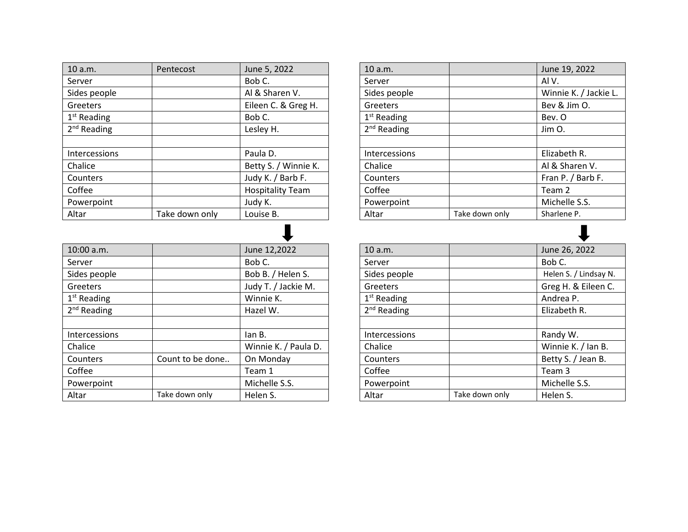| 10 a.m.       | Pentecost      | June 5, 2022            |
|---------------|----------------|-------------------------|
| Server        |                | Bob C.                  |
| Sides people  |                | Al & Sharen V.          |
| Greeters      |                | Eileen C. & Greg H.     |
| $1st$ Reading |                | Bob C.                  |
| $2nd$ Reading |                | Lesley H.               |
|               |                |                         |
| Intercessions |                | Paula D.                |
| Chalice       |                | Betty S. / Winnie K.    |
| Counters      |                | Judy K. / Barb F.       |
| Coffee        |                | <b>Hospitality Team</b> |
| Powerpoint    |                | Judy K.                 |
| Altar         | Take down only | Louise B.               |

| 10:00 a.m.    |                  | June 12,2022         |
|---------------|------------------|----------------------|
| Server        |                  | Bob C.               |
| Sides people  |                  | Bob B. / Helen S.    |
| Greeters      |                  | Judy T. / Jackie M.  |
| $1st$ Reading |                  | Winnie K.            |
| $2nd$ Reading |                  | Hazel W.             |
|               |                  |                      |
| Intercessions |                  | lan B.               |
| Chalice       |                  | Winnie K. / Paula D. |
| Counters      | Count to be done | On Monday            |
| Coffee        |                  | Team 1               |
| Powerpoint    |                  | Michelle S.S.        |
| Altar         | Take down only   | Helen S.             |

| 10 a.m.              |                | June 19, 2022         |
|----------------------|----------------|-----------------------|
| Server               |                | Al V.                 |
| Sides people         |                | Winnie K. / Jackie L. |
| Greeters             |                | Bev & Jim O.          |
| $1st$ Reading        |                | Bev. O                |
| $2nd$ Reading        |                | Jim O.                |
|                      |                |                       |
| <b>Intercessions</b> |                | Elizabeth R.          |
| Chalice              |                | Al & Sharen V.        |
| Counters             |                | Fran P. / Barb F.     |
| Coffee               |                | Team 2                |
| Powerpoint           |                | Michelle S.S.         |
| Altar                | Take down only | Sharlene P.           |

| 10 a.m.       |                | June 26, 2022         |
|---------------|----------------|-----------------------|
| Server        |                | Bob C.                |
| Sides people  |                | Helen S. / Lindsay N. |
| Greeters      |                | Greg H. & Eileen C.   |
| $1st$ Reading |                | Andrea P.             |
| $2nd$ Reading |                | Elizabeth R.          |
|               |                |                       |
| Intercessions |                | Randy W.              |
| Chalice       |                | Winnie K. / Ian B.    |
| Counters      |                | Betty S. / Jean B.    |
| Coffee        |                | Team 3                |
| Powerpoint    |                | Michelle S.S.         |
| Altar         | Take down only | Helen S.              |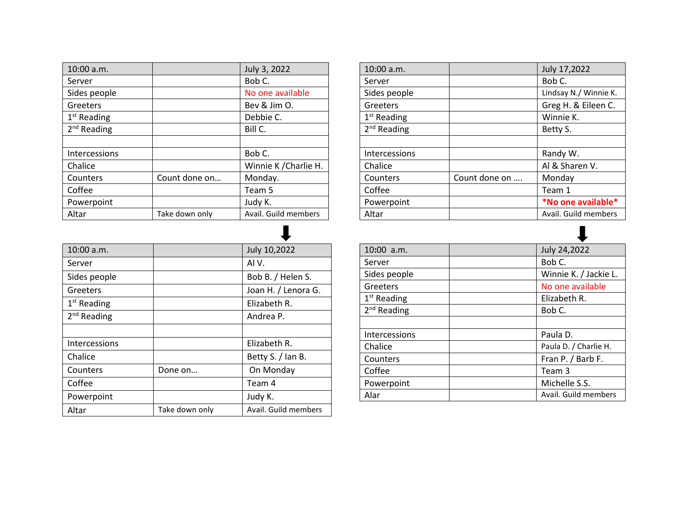| 10:00 a.m.           |                | July 3, 2022          |
|----------------------|----------------|-----------------------|
| Server               |                | Bob C.                |
| Sides people         |                | No one available      |
| Greeters             |                | Bev & Jim O.          |
| $1st$ Reading        |                | Debbie C.             |
| $2nd$ Reading        |                | Bill C.               |
|                      |                |                       |
| <b>Intercessions</b> |                | Bob C.                |
| Chalice              |                | Winnie K / Charlie H. |
| Counters             | Count done on  | Monday.               |
| Coffee               |                | Team 5                |
| Powerpoint           |                | Judy K.               |
| Altar                | Take down only | Avail. Guild members  |

| 10:00 a.m.           |                | July 10,2022         |
|----------------------|----------------|----------------------|
| Server               |                | AIV.                 |
| Sides people         |                | Bob B. / Helen S.    |
| Greeters             |                | Joan H. / Lenora G.  |
| $1st$ Reading        |                | Elizabeth R.         |
| $2nd$ Reading        |                | Andrea P.            |
|                      |                |                      |
| <b>Intercessions</b> |                | Elizabeth R.         |
| Chalice              |                | Betty S. / Ian B.    |
| Counters             | Done on        | On Monday            |
| Coffee               |                | Team 4               |
| Powerpoint           |                | Judy K.              |
| Altar                | Take down only | Avail. Guild members |

| 10:00 a.m.           |               | July 17,2022          |
|----------------------|---------------|-----------------------|
| Server               |               | Bob C.                |
| Sides people         |               | Lindsay N./ Winnie K. |
| Greeters             |               | Greg H. & Eileen C.   |
| $1st$ Reading        |               | Winnie K.             |
| $2nd$ Reading        |               | Betty S.              |
|                      |               |                       |
| <b>Intercessions</b> |               | Randy W.              |
| Chalice              |               | Al & Sharen V.        |
| Counters             | Count done on | Monday                |
| Coffee               |               | Team 1                |
| Powerpoint           |               | *No one available*    |
| Altar                |               | Avail. Guild members  |

| $10:00$ a.m.         | July 24,2022          |
|----------------------|-----------------------|
| Server               | Bob C.                |
| Sides people         | Winnie K. / Jackie L. |
| Greeters             | No one available      |
| $1st$ Reading        | Elizabeth R.          |
| $2nd$ Reading        | Bob C.                |
|                      |                       |
| <b>Intercessions</b> | Paula D.              |
| Chalice              | Paula D. / Charlie H. |
| Counters             | Fran P. / Barb F.     |
| Coffee               | Team 3                |
| Powerpoint           | Michelle S.S.         |
| Alar                 | Avail. Guild members  |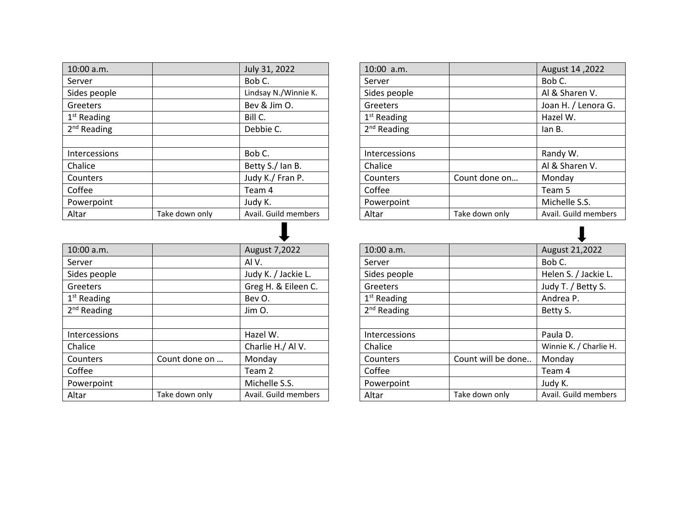| 10:00 a.m.           |                | July 31, 2022        |
|----------------------|----------------|----------------------|
| Server               |                | Bob C.               |
| Sides people         |                | Lindsay N./Winnie K. |
| Greeters             |                | Bev & Jim O.         |
| $1st$ Reading        |                | Bill C.              |
| $2nd$ Reading        |                | Debbie C.            |
|                      |                |                      |
| <b>Intercessions</b> |                | Bob C.               |
| Chalice              |                | Betty S./ Ian B.     |
| Counters             |                | Judy K./ Fran P.     |
| Coffee               |                | Team 4               |
| Powerpoint           |                | Judy K.              |
| Altar                | Take down only | Avail. Guild members |

| 10:00 a.m.           |                | August 7,2022        |
|----------------------|----------------|----------------------|
| Server               |                | AIV.                 |
| Sides people         |                | Judy K. / Jackie L.  |
| Greeters             |                | Greg H. & Eileen C.  |
| $1st$ Reading        |                | Bev O.               |
| $2nd$ Reading        |                | Jim O.               |
|                      |                |                      |
| <b>Intercessions</b> |                | Hazel W.             |
| Chalice              |                | Charlie H./ Al V.    |
| Counters             | Count done on  | Monday               |
| Coffee               |                | Team 2               |
| Powerpoint           |                | Michelle S.S.        |
| Altar                | Take down only | Avail. Guild members |

| $10:00$ a.m.         |                | August 14, 2022      |
|----------------------|----------------|----------------------|
| Server               |                | Bob C.               |
| Sides people         |                | Al & Sharen V.       |
| Greeters             |                | Joan H. / Lenora G.  |
| $1st$ Reading        |                | Hazel W.             |
| $2nd$ Reading        |                | lan B.               |
|                      |                |                      |
| <b>Intercessions</b> |                | Randy W.             |
| Chalice              |                | Al & Sharen V.       |
| Counters             | Count done on  | Monday               |
| Coffee               |                | Team 5               |
| Powerpoint           |                | Michelle S.S.        |
| Altar                | Take down only | Avail. Guild members |

| 10:00 a.m.    |                    | August 21,2022         |
|---------------|--------------------|------------------------|
| Server        |                    | Bob C.                 |
| Sides people  |                    | Helen S. / Jackie L.   |
| Greeters      |                    | Judy T. / Betty S.     |
| $1st$ Reading |                    | Andrea P.              |
| $2nd$ Reading |                    | Betty S.               |
|               |                    |                        |
| Intercessions |                    | Paula D.               |
| Chalice       |                    | Winnie K. / Charlie H. |
| Counters      | Count will be done | Monday                 |
| Coffee        |                    | Team 4                 |
| Powerpoint    |                    | Judy K.                |
| Altar         | Take down only     | Avail. Guild members   |